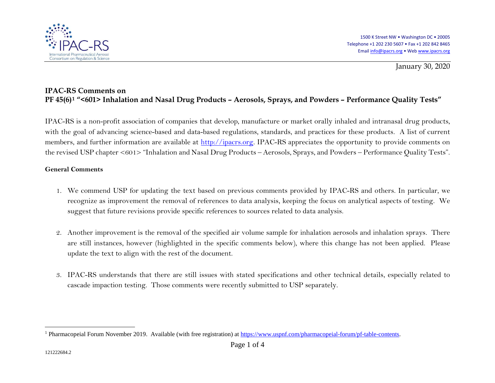

<span id="page-0-0"></span>January 30, 2020

## **IPAC-RS Comments on PF 45(6)[1](#page-0-0) "<601> Inhalation and Nasal Drug Products – Aerosols, Sprays, and Powders – Performance Quality Tests"**

IPAC-RS is a non-profit association of companies that develop, manufacture or market orally inhaled and intranasal drug products, with the goal of advancing science-based and data-based regulations, standards, and practices for these products. A list of current members, and further information are available at [http://ipacrs.org.](http://ipacrs.org/) IPAC-RS appreciates the opportunity to provide comments on the revised USP chapter <601> "Inhalation and Nasal Drug Products – Aerosols, Sprays, and Powders – Performance Quality Tests".

## **General Comments**

- 1. We commend USP for updating the text based on previous comments provided by IPAC-RS and others. In particular, we recognize as improvement the removal of references to data analysis, keeping the focus on analytical aspects of testing. We suggest that future revisions provide specific references to sources related to data analysis.
- 2. Another improvement is the removal of the specified air volume sample for inhalation aerosols and inhalation sprays. There are still instances, however (highlighted in the specific comments below), where this change has not been applied. Please update the text to align with the rest of the document.
- 3. IPAC-RS understands that there are still issues with stated specifications and other technical details, especially related to cascade impaction testing. Those comments were recently submitted to USP separately.

<sup>&</sup>lt;sup>1</sup> Pharmacopeial Forum November 2019. Available (with free registration) at [https://www.uspnf.com/pharmacopeial-forum/pf-table-contents.](https://www.uspnf.com/pharmacopeial-forum/pf-table-contents)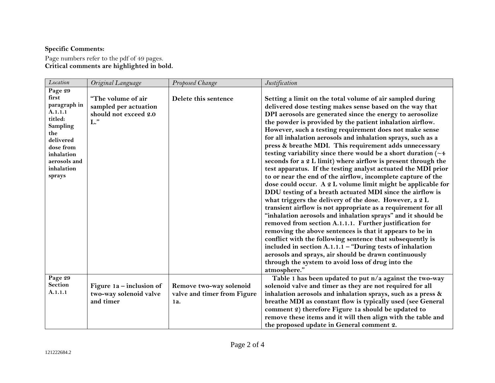## **Specific Comments:**

Page numbers refer to the pdf of 49 pages. **Critical comments are highlighted in bold.**

| Location                                                                                                                                                         | Original Language                                                              | Proposed Change                                               | Justification                                                                                                                                                                                                                                                                                                                                                                                                                                                                                                                                                                                                                                                                                                                                                                                                                                                                                                                                                                                                                                                                                                                                                                                                                                                                                                                                                                                                          |
|------------------------------------------------------------------------------------------------------------------------------------------------------------------|--------------------------------------------------------------------------------|---------------------------------------------------------------|------------------------------------------------------------------------------------------------------------------------------------------------------------------------------------------------------------------------------------------------------------------------------------------------------------------------------------------------------------------------------------------------------------------------------------------------------------------------------------------------------------------------------------------------------------------------------------------------------------------------------------------------------------------------------------------------------------------------------------------------------------------------------------------------------------------------------------------------------------------------------------------------------------------------------------------------------------------------------------------------------------------------------------------------------------------------------------------------------------------------------------------------------------------------------------------------------------------------------------------------------------------------------------------------------------------------------------------------------------------------------------------------------------------------|
| Page 29<br>first<br>paragraph in<br>A.1.1.1<br>titled:<br><b>Sampling</b><br>the<br>delivered<br>dose from<br>inhalation<br>aerosols and<br>inhalation<br>sprays | "The volume of air<br>sampled per actuation<br>should not exceed 2.0<br>$L$ ." | Delete this sentence                                          | Setting a limit on the total volume of air sampled during<br>delivered dose testing makes sense based on the way that<br>DPI aerosols are generated since the energy to aerosolize<br>the powder is provided by the patient inhalation airflow.<br>However, such a testing requirement does not make sense<br>for all inhalation aerosols and inhalation sprays, such as a<br>press & breathe MDI. This requirement adds unnecessary<br>testing variability since there would be a short duration $(\sim 4$<br>seconds for a 2 L limit) where airflow is present through the<br>test apparatus. If the testing analyst actuated the MDI prior<br>to or near the end of the airflow, incomplete capture of the<br>dose could occur. A 2 L volume limit might be applicable for<br>DDU testing of a breath actuated MDI since the airflow is<br>what triggers the delivery of the dose. However, a 2 L<br>transient airflow is not appropriate as a requirement for all<br>"inhalation aerosols and inhalation sprays" and it should be<br>removed from section A.1.1.1. Further justification for<br>removing the above sentences is that it appears to be in<br>conflict with the following sentence that subsequently is<br>included in section $A.1.1.1 -$ "During tests of inhalation<br>aerosols and sprays, air should be drawn continuously<br>through the system to avoid loss of drug into the<br>atmosphere." |
| Page 29<br>Section<br>A.1.1.1                                                                                                                                    | Figure $1a$ – inclusion of<br>two-way solenoid valve<br>and timer              | Remove two-way solenoid<br>valve and timer from Figure<br>1a. | Table 1 has been updated to put n/a against the two-way<br>solenoid valve and timer as they are not required for all<br>inhalation aerosols and inhalation sprays, such as a press &<br>breathe MDI as constant flow is typically used (see General<br>comment 2) therefore Figure 1a should be updated to<br>remove these items and it will then align with the table and<br>the proposed update in General comment 2.                                                                                                                                                                                                                                                                                                                                                                                                                                                                                                                                                                                                                                                                                                                                                                                                                                                                                                                                                                                                |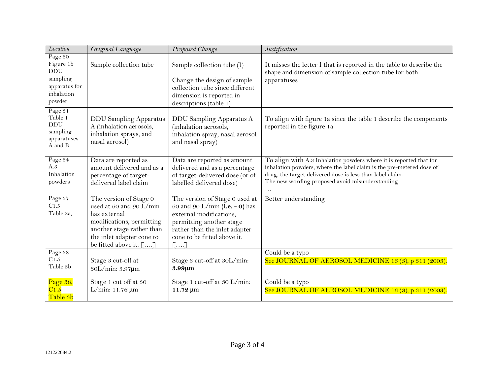| Location                                                                                | Original Language                                                                                                                                                                  | Proposed Change                                                                                                                                                                                 | Justification                                                                                                                                                                                                                                              |
|-----------------------------------------------------------------------------------------|------------------------------------------------------------------------------------------------------------------------------------------------------------------------------------|-------------------------------------------------------------------------------------------------------------------------------------------------------------------------------------------------|------------------------------------------------------------------------------------------------------------------------------------------------------------------------------------------------------------------------------------------------------------|
| Page 30<br>Figure 1b<br><b>DDU</b><br>sampling<br>apparatus for<br>inhalation<br>powder | Sample collection tube                                                                                                                                                             | Sample collection tube (I)<br>Change the design of sample<br>collection tube since different<br>dimension is reported in<br>descriptions (table 1)                                              | It misses the letter I that is reported in the table to describe the<br>shape and dimension of sample collection tube for both<br>apparatuses                                                                                                              |
| Page 31<br>Table 1<br><b>DDU</b><br>sampling<br>apparatuses<br>A and B                  | <b>DDU Sampling Apparatus</b><br>A (inhalation aerosols,<br>inhalation sprays, and<br>nasal aerosol)                                                                               | DDU Sampling Apparatus A<br>(inhalation aerosols,<br>inhalation spray, nasal aerosol<br>and nasal spray)                                                                                        | To align with figure 1a since the table 1 describe the components<br>reported in the figure 1a                                                                                                                                                             |
| Page 34<br>A.3<br>Inhalation<br>powders                                                 | Data are reported as<br>amount delivered and as a<br>percentage of target-<br>delivered label claim                                                                                | Data are reported as amount<br>delivered and as a percentage<br>of target-delivered dose (or of<br>labelled delivered dose)                                                                     | To align with A.3 Inhalation powders where it is reported that for<br>inhalation powders, where the label claim is the pre-metered dose of<br>drug, the target delivered dose is less than label claim.<br>The new wording proposed avoid misunderstanding |
| Page 37<br>C1.5<br>Table 3a,                                                            | The version of Stage 0<br>used at 60 and 90 L/min<br>has external<br>modifications, permitting<br>another stage rather than<br>the inlet adapter cone to<br>be fitted above it. [] | The version of Stage 0 used at<br>60 and 90 L/min (i.e. - 0) has<br>external modifications,<br>permitting another stage<br>rather than the inlet adapter<br>cone to be fitted above it.<br>[[]] | Better understanding                                                                                                                                                                                                                                       |
| Page 38<br>C1.5<br>Table 3b                                                             | Stage 3 cut-off at<br>30L/min: 3.97µm                                                                                                                                              | Stage 3 cut-off at 30L/min:<br>3.99µm                                                                                                                                                           | Could be a typo<br>See JOURNAL OF AEROSOL MEDICINE 16 (3), p 311 (2003).                                                                                                                                                                                   |
| Page 38,<br>$\overline{\text{C}1.5}$<br>Table 3b                                        | Stage 1 cut off at 30<br>L/min: $11.76 \,\mu m$                                                                                                                                    | Stage 1 cut-off at 30 L/min:<br>11.72 µm                                                                                                                                                        | Could be a typo<br>See JOURNAL OF AEROSOL MEDICINE 16 (3), p 311 (2003).                                                                                                                                                                                   |